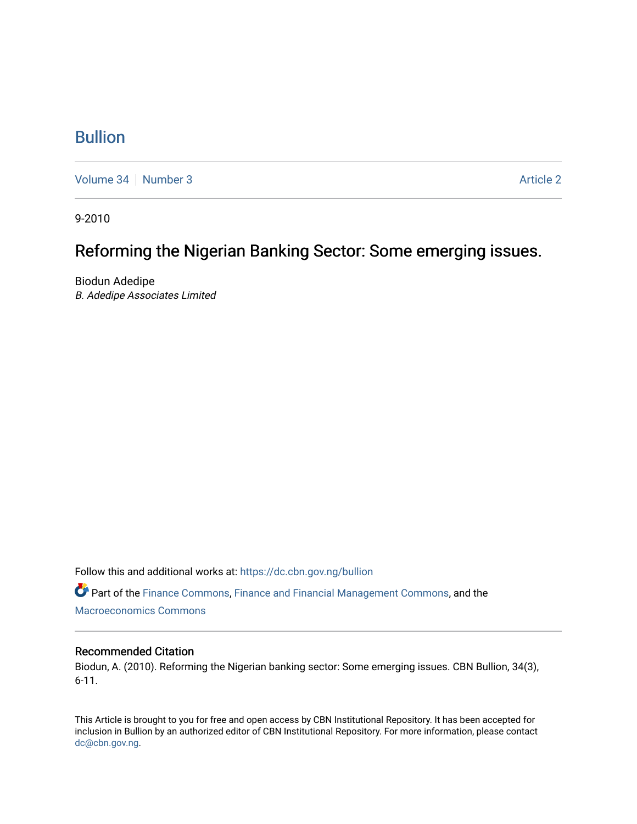# [Bullion](https://dc.cbn.gov.ng/bullion)

[Volume 34](https://dc.cbn.gov.ng/bullion/vol34) [Number 3](https://dc.cbn.gov.ng/bullion/vol34/iss3) Article 2

9-2010

# Reforming the Nigerian Banking Sector: Some emerging issues.

Biodun Adedipe B. Adedipe Associates Limited

Follow this and additional works at: [https://dc.cbn.gov.ng/bullion](https://dc.cbn.gov.ng/bullion?utm_source=dc.cbn.gov.ng%2Fbullion%2Fvol34%2Fiss3%2F2&utm_medium=PDF&utm_campaign=PDFCoverPages) 

Part of the [Finance Commons,](http://network.bepress.com/hgg/discipline/345?utm_source=dc.cbn.gov.ng%2Fbullion%2Fvol34%2Fiss3%2F2&utm_medium=PDF&utm_campaign=PDFCoverPages) [Finance and Financial Management Commons,](http://network.bepress.com/hgg/discipline/631?utm_source=dc.cbn.gov.ng%2Fbullion%2Fvol34%2Fiss3%2F2&utm_medium=PDF&utm_campaign=PDFCoverPages) and the [Macroeconomics Commons](http://network.bepress.com/hgg/discipline/350?utm_source=dc.cbn.gov.ng%2Fbullion%2Fvol34%2Fiss3%2F2&utm_medium=PDF&utm_campaign=PDFCoverPages) 

#### Recommended Citation

Biodun, A. (2010). Reforming the Nigerian banking sector: Some emerging issues. CBN Bullion, 34(3), 6-11.

This Article is brought to you for free and open access by CBN Institutional Repository. It has been accepted for inclusion in Bullion by an authorized editor of CBN Institutional Repository. For more information, please contact [dc@cbn.gov.ng](mailto:dc@cbn.gov.ng).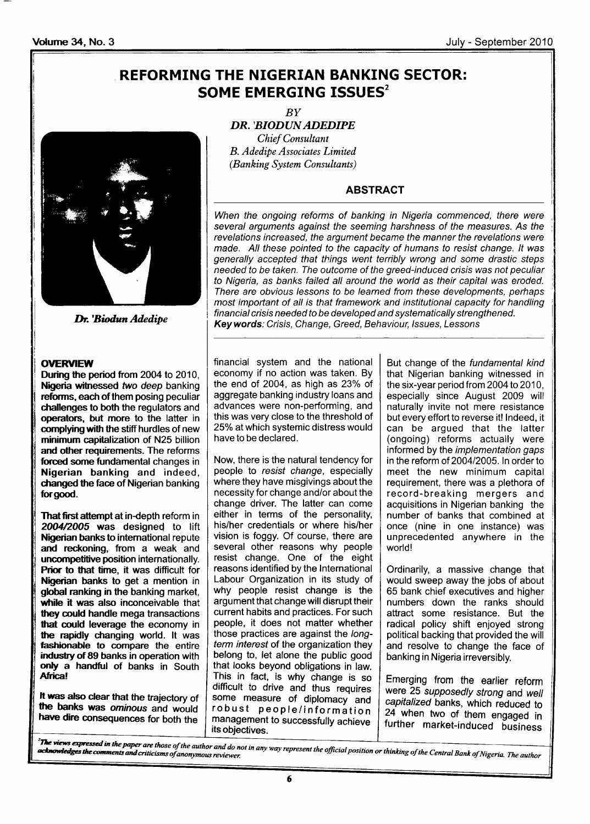# REFORMING THE NIGERIAN BANKING SECTOR: SOME EMERGING ISSUES<sup>2</sup>



#### **OVERVIEW**

During the period from 2004 to 2010, Nigeria witnessed two deep banking reforms, each of them posing peculiar challenges to both the regulators and operators, but more to the latter in complying with the stiff hurdles of new minimum capitalization of N25 billion and other requirements. The reforms forced some fundamental changes in Nigerian banking and indeed, changed the face of Nigerian banking for good.

That first attempt at in-depth reform in 2004/2005 was designed to lift Nigerian banks to international repute and reckoning, from a weak and uncompetitive position internationally. Prior to that time, it was difficult for Nigerian banks to get a mention in global ranking in the banking market, while it was also inconceivable that they could handle mega transactions that could leverage the economy in the rapidly changing world. lt was tashionable to compare the entire indusfy of 89 banks in operation with only a handtul of banks in South Africa!

It was also clear that the trajectory of the banks was ominous and would have dire consequences for both the

BY DR.'BIODUN ADEDIPE **Chief Consultant** B. Adedipe Associates Limited (Banking System Consultants)

#### ABSTRACT

When the ongoing reforms of banking in Nigeria commenced, there were several arguments against the seeming harshness of the measures. As the revelations increased, the argument became the manner the revelations were made. All these pointed to the capacity of humans fo resist change. lt was generally accepted that things went terribly wrong and some drastic steps needed to be taken. The outcome of the greed-induced crisis was not peculiar to Nigeria, as banks failed all around the world as their capital was eroded. There are obvious lessons to be learned from these developments, perhaps most important of all is that framework and institutional capacity for handling financial crisis needed to be developed and systematically strengthened. **Dr. 'Biodun Adedipe**<br>Key words: Crisis, Change, Greed, Behaviour, Issues, Lessons Interventional Crisis, Change, Greed, Behaviour, Issues, Lessons

> financial system and the national economy if no action was taken. By the end of 2004, as high as 23% of aggregate banking industry loans and advances were non-performing, and this was very close to the threshold of 25% at which systemic distress would have to be declared.

> Now, there is the natural tendency for people to resist change, especially where they have misgivings about the necessity for change and/or about the change driver. The latter can come either in terms of the personality, his/her credentials or where his/her vision is foggy. Of course, there are several other reasons why people resist change. One of the eight reasons identified by the lnternational Labour Organization in its study of why people resist change is the argument that change will disrupt their current habits and practices. For such people, it does not matter whether those practices are against the longterm interest of the organization they belong to, let alone the public good that looks beyond obligations in law. This in fact, is why change is so difficult to drive and thus requires some measure of diplomacy and<br>robust people/information management to successfully achieve its objectives.

But change of the fundamental kind that Nigerian banking witnessed in the six-year period from 2004 to 2010, especially since August 2009 will naturally invite not mere resistance but every effort to reverse it! lndeed, it can be argued that the latter (ongoing) reforms actually were informed by the implementation gaps in the reform of 2004/2005. In order to meet the new minimum capital requirement, there was a plethora of record-breaking mergers and acquisitions in Nigerian banking the number of banks that combined at once (nine in one instance) was unprecedented anywhere in the world!

Ordinarily, a massive change that would sweep away the jobs of about 65 bank chief executives and higher numbers down the ranks should attract some resistance. But the radical policy shift enjoyed strong political backing that provided the will and resolve to change the face of banking in Nigeria irreversibly.

Emerging from the earlier reform were 25 supposedly strong and well<br>capitalized banks, which reduced to 24 when two of them engaged in further market-induced business

in any way represent the official position or thinking of the Central Bank of Nigeria. The author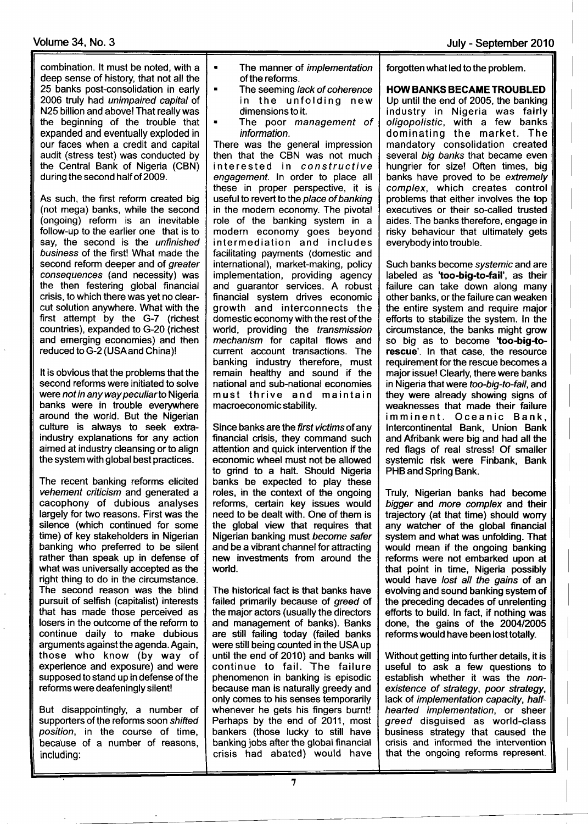combination. lt must be noted, with a deep sense of history, that not all the 25 banks post-consolidation in early 2006 truly had unimpaired capital of N25 billion and above! That really was the beginning of the trouble that expanded and eventually exploded in our faces when a credit and capital audit (stress test) was conducted by the Central Bank of Nigeria (CBN) during the second half of 2009.

As such, the first reform created big (not mega) banks, while the second (ongoing) reform is an inevitable follow-up to the earlier one that is to say, the second is the unfinished business of the first! What made the second reform deeper and of greater consequences (and necessity) was the then festering global financial crisis, to which there was yet no clearcut solution anywhere. What with the first attempt by the G-7 (richest countries), expanded to G-20 (richest and emerging economies) and then reduced to G-2 (USAand China)!

It is obvious that the problems that the second reforms were initiated to solve were not in any way peculiarto Nigeria banks were in trouble everywhere around the world. But the Nigerian culture is always to seek extraindustry explanations for any action aimed at industry cleansing or to align the system with global best practices.

The recent banking reforms elicited vehement criticism and generated a cacophony of dubious analyses largely for two reasons. First was the silence (which continued for some time) of key stakeholders in Nigerian banking who preferred to be silent rather than speak up in defense of what was universally accepted as the right thing to do in the circumstance. The second reason was the blind pursuit of selfish (capitalist) interests that has made those perceived as losers in the outcome of the reform to continue daily to make dubious arguments against the agenda. Again, those who know (by way of experience and exposure) and were supposed to stand up in defense of the reforms were deafeningly silent!

But disappointingly, a number of supporters of the reforms soon shifted position, in the course of time, because of a number of reasons, including:

- The manner of *implementation* of the reforms.
- The seeming lack of coherence in the unfolding new dimensions to it.
- The poor management of information.

There was the general impression then that the CBN was not much interested in constructive engagemenf. ln order to place all these in proper perspective, it is useful to revert to the place of banking in the modern economy. The pivotal role of the banking system in <sup>a</sup> modern economy goes beyond intermediation and includes facilitating payments (domestic and international), market-making, policy implementation, providing agency and guarantor services. A robust financial system drives economic growth and interconnects the domestic economy with the rest of the world, providing the *transmission* mechanism for capital flows and current account transactions. The banking industry therefore, must remain healthy and sound if the national and sub-national economies must thrive and maintain macroeconomic stability.

Since banks are the first victims of any financial crisis, they command such attention and quick intervention if the economic wheel must not be allowed to grind to a halt. Should Nigeria banks be expected to play these roles, in the context of the ongoing reforms, certain key issues would need to be dealt with. One of them is the global view that requires that Nigerian banking must become safer and be a vibrant channel for attracting new investments from around the world.

The historical fact is that banks have failed primarily because of greed of the major actors (usually the directors and management of banks). Banks are still failing today (failed banks were still being counted in the USAup until the end of 2010) and banks will continue to fail. The failure phenomenon in banking is episodic because man is naturally greedy and only comes to his senses temporarily whenever he gets his fingers burnt! Perhaps by the end of 2011, most bankers (those lucky to still have banking jobs after the global financial crisis had abated) would have forgotten what led to the problem

HOW BANKS BECAME TROUBLED Up until the end of 2005, the banking industry in Nigeria was fairly oligopolistic, with a few banks dominating the market. The mandatory consolidation created several big banks that became even hungrier for size! Often times, big banks have proved to be extremely complex, which creates control problems that either involves the top executives or their so-called trusted aides. The banks therefore, engage in risky behaviour that ultimately gets everybody into trouble.

Such banks become systemic and are labeled as 'too-big-to-fail', as their failure can take down along many other banks, or the failure can weaken the entire system and require major efforts to stabilize the system. ln the circumstance, the banks might grow so big as to become 'too-big-torescue'. ln that case, the resource requirement for the rescue becomes a major issue! Clearly, there were banks in Nigeria that were too-big-to-fail, and they were already showing signs of weaknesses that made their failure imminent. Oceanic Bank, lntercontinental Bank, Union Bank and Afribank were big and had all the red flags of real stress! Of smaller systemic risk were Finbank, Bank PHB and Spring Bank.

Truly, Nigerian banks had become bigger and more complex and their trajectory (at that time) should worry any watcher of the global financial system and what was unfolding. That would mean if the ongoing banking reforms were not embarked upon at that point in time, Nigeria possibly would have lost all the gains of an evolving and sound banking system of the preceding decades of unrelenting efforts to build. ln fact, if nothing was done, the gains of the 2OO412005 reforms would have been lost totally.

Without getting into further details, it is useful to ask a few questions to establish whether it was the nonexistence of strategy, poor strategy, lack of implementation capacity, halfhearted implementation, or sheer greed disguised as world-class business strategy that caused the crisis and informed the intervention that the ongoing reforms represent.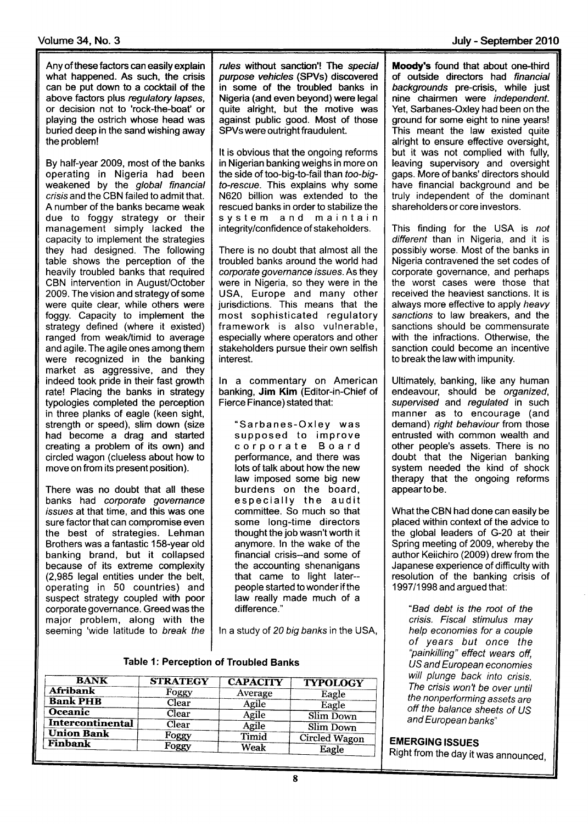Any of these factors can easily explain what happened. As such, the crisis can be put down to a cocktail of the above factors plus regulatory lapses, or decision not to 'rock-the-boat' or playing the ostrich whose head was buried deep in the sand wishing away the problem!

By half-year 2009, most of the banks operating in Nigeria had been weakened by the global financial crisis and the CBN failed to admit that. A number of the banks became weak due to foggy strategy or their management simply lacked the capacity to implement the strategies they had designed. The following table shows the perception of the heavily troubled banks that required CBN intervention in August/October 2009. The vision and strategy of some were quite clear, while others were foggy. Capacity to implement the strategy defined (where it existed) ranged from weak/timid to average and agile. The agile ones among them were recognized in the banking market as aggressive, and they indeed took pride in their fast growth rate! Placing the banks in strategy typologies completed the perception in three planks of eagle (keen sight, strength or speed), slim down (size had become a drag and started creating a problem of its own) and circled wagon (clueless about how to move on from its present position).

There was no doubt that all these banks had corporate governance issues at that time, and this was one sure factor that can compromise even the best of strategies. Lehman Brothers was a fantastic 1S8-year old banking brand, but it collapsed because of its extreme complexity (2,985 legal entities under the belt, operating in 50 countries) and suspect strategy coupled with poor corporate governance. Greed was the major problem, along with the seeming 'wide latitude to break the

rules without sanction'! The special purpose vehicles (SPVs) discovered in some of the troubled banks in Nigeria (and even beyond) were legal quite alright, but the motive was against public good. Most of those SPVs were outright fraudulent.

It is obvious that the ongoing reforms in Nigerian banking weighs in more on the side of too-big-to-fail than too-bigto-rescue. This explains why some N620 billion was extended to the rescued banks in order to stabilize the system and maintain integrity/confidence of stakeholders.

There is no doubt that almost all the troubled banks around the world had corporate governance issues. As they were in Nigeria, so they were in the USA, Europe and many other jurisdictions. This means that the most sophisticated regulatory framework is also vulnerable, especially where operators and other stakeholders pursue their own selfish interest.

ln a commentary on American banking, Jim Kim (Editor-in-Chief of Fierce Finance) stated that:

"Sarbanes-Oxley was supposed to improve corporate Board performance, and there was lots of talk about how the new law imposed some big new burdens on the board, especially the audit committee. So much so that some long-time directors thought the job wasn't worth it anymore. ln the wake of the financial crisis--and some of the accounting shenanigans that came to light later- people started to wonder if the law really made much of a difference."

ln a study of 20 big banks in the USA,

| Table 1: Perception of Troubled Banks |  |
|---------------------------------------|--|
|---------------------------------------|--|

| <b>BANK</b>             | <b>STRATEGY</b> | <b>CAPACITY</b> | <b>TYPOLOGY</b>      |
|-------------------------|-----------------|-----------------|----------------------|
| <b>Afribank</b>         | Foggy           | Average         | Eagle                |
| <b>Bank PHB</b>         | Clear           | Agile           | Eagle                |
| Oceanic                 | Clear           | Agile           | Slim Down            |
| <b>Intercontinental</b> | Clear           | Agile           | Slim Down            |
| <b>Union Bank</b>       | Foggy           | Timid           | <b>Circled Wagon</b> |
| <b>Finbank</b>          | Foggy           | Weak            | Eagle                |

Moody's found that about one-third of outside directors had financial backgrounds pre-crisis, while just nine chairmen were *independent*. Yet, Sarbanes-Oxley had been on the ground for some eight to nine years! This meant the law existed quite alright to ensure effective oversight, but it was not complied with fully, leaving supervisory and oversight gaps. More of banks' directors should have financial background and be truly independent of the dominant shareholders or core investors.

This finding for the USA is not different than in Nigeria, and it is possibly worse. Most of the banks in Nigeria contravened the set codes of corporate governance, and perhaps the worst cases were those that received the heaviest sanctions. lt is always more effective to apply heavy sanctions to law breakers, and the sanctions should be commensurate with the infractions. Otherwise, the sanction could become an incentive to break the law with impunity.

Ultimately, banking, like any human endeavour, should be organized, supervised and regulated in such manner as to encourage (and demand) right behaviour from those entrusted with common wealth and other people's assets. There is no doubt that the Nigerian banking system needed the kind of shock therapy that the ongoing reforms appearto be.

What the CBN had done can easily be placed within context of the advice to the global leaders of G-20 at their Spring meeting of 2009, whereby the author Keiichiro (2009) drew from the Japanese experience of difficulty with resolution of the banking crisis of 1997/1998 and argued that:

"Bad debt is the root of the crisis. Fiscal stimulus may help economies for a couple of years but once the "painkilling" effect wears off, US and European economies will plunge back into crisis. The crisis won't be over until the nonpefforming assets are off the balance sheets of US and European banks"

### EMERGING ISSUES

Right from the day it was announced,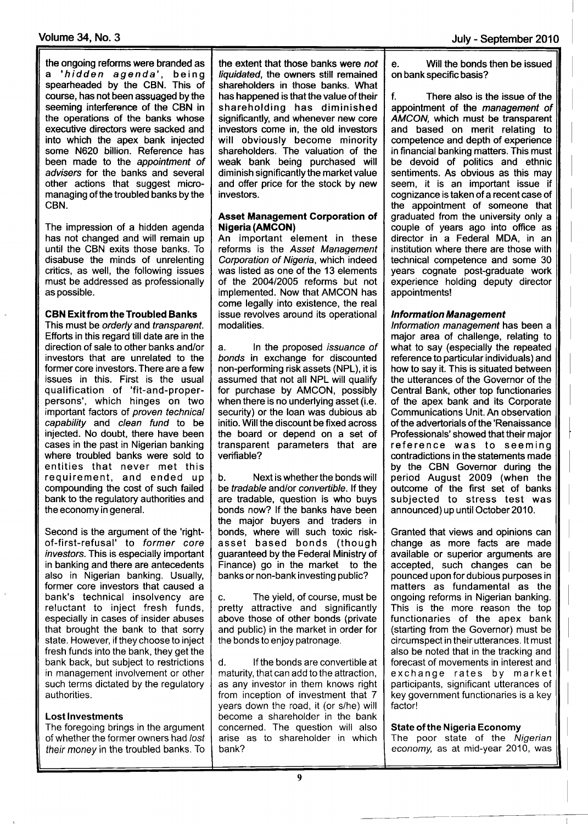the ongoing reforms were branded as a 'hidden agenda', being spearheaded by the CBN. This of course, has not been assuaged bythe seeming interference of the CBN in the operations of the banks whose executive directors were sacked and into which the apex bank injected some N620 billion. Reference has been made to the appointment of advisers for the banks and several other actions that suggest micromanaging of the troubled banks by the CBN.

The impression of a hidden agenda has not changed and will remain up until the CBN exits those banks. To disabuse the minds of unrelenting critics, as well, the following issues must be addressed as professionally as possible.

#### CBN Exit from the Troubled Banks

This must be orderly and transparent. Efforts in this regard till date are in the direction of sale to other banks and/or investors that are unrelated to the former core investors. There are a few issues in this. First is the usual qualification of 'fit-and-properpersons', which hinges on two important factors of *proven technical* miperium ractice of procent technical injected. No doubt, there have been cases in the past in Nigerian banking where troubled banks were sold to entities that never met this requirement, and ended up compounding the cost of such failed bank to the regulatory authorities and the economy in general.

Second is the argument of the 'rightof-first-refusal' to former core investors. This is especially important in banking and there are antecedents also in Nigerian banking. Usually, former core investors that caused a bank's technical insolvency are reluctant to inject fresh funds, especially in cases of insider abuses that brought the bank to that sorry state. However, if they choose to inject fresh funds into the bank, they get the bank back, but subject to restrictions in management involvement or other such terms dictated by the regulatory authorities.

#### Lost lnvestments

r

The foregoing brings in the argument of whether the former owners had /ost their money in the troubled banks. To

the extent that those banks were not liquidated, the owners still remained shareholders in those banks. What has happened is that the value of their shareholding has diminished significantly, and whenever new core investors come in, the old investors will obviously become minority shareholders. The valuation of the weak bank being purchased will diminish significantly the market value and offer price for the stock by new investors.

#### Asset Management Gorporation of Nigeria(AMGON)

An important element in these reforms is the Asset Management Corporation of Nigeria, which indeed was listed as one of the 13 elements of the 200412005 reforms but not implemented. Now that AMCON has come legally into existence, the real issue revolves around its operational modalities.

a. ln the proposed issuance of bonds in exchange for discounted non-performing risk assets (NPL), it is assumed that not all NPL will qualify for purchase by AMCON, possibly when there is no underlying asset (i.e. security) or the loan was dubious ab initio. Will the discount be fixed across the board or depend on a set of transparent parameters that are verifiable?

b. Next is whether the bonds will be tradable and/or convertible. If they are tradable, question is who buys bonds now? lf the banks have been the major buyers and traders in bonds, where will such toxic riskasset based bonds (though guaranteed by the Federal Ministry of Finance) go in the market to the banks or non-bank investing public?

c. The yield, of course, must be pretty attractive and significantly above those of other bonds (private and public) in the market in order for the bonds to enjoy patronage.

d. lf the bonds are convertible at maturity, that can add to the attraction, as any investor in them knows right from inception of investment that 7 years down the road, it (or s/he) will become a shareholder in the bank concerned. The question will also arise as to shareholder in which bank?

e. Will the bonds then be issued on bankspecific basis?

f. There also is the issue of the appointment of the management of AMCON, which must be transparent and based on merit relating to competence and depth of experience in financial banking matters. This must be devoid of politics and ethnic sentiments. As obvious as this may seem, it is an important issue if cognizance is taken of a recent case of the appointment of someone that graduated from the university only a couple of years ago into office as director in a Federal MDA, in an institution where there are those with technical competence and some 30 years cognate post-graduate work experience holding deputy director appointments!

#### **Information Management**

lnformation managemenf has been a major area of challenge, relating to what to say (especially the repeated reference to particular individuals) and how to say it. This is situated between the utterances of the Governor of the Central Bank, other top functionaries of the apex bank and its Corporate Communications Unit. An observation of the advertorials of the'Renaissance Professionals' showed that their major reference was to seeming contradictions in the statements made by the CBN Governor during the period August 2009 (when the outcome of the first set of banks subjected to stress test was announced) up until October 2010.

Granted that views and opinions can change as more facts are made available or superior arguments are accepted, such changes can be pounced upon for dubious purposes in matters as fundamental as the ongoing reforms in Nigerian banking. This is the more reason the top functionaries of the apex bank (starting from the Governor) must be circumspect in their utterances. lt must also be noted that in the tracking and forecast of movements in interest and exchange rates by market participants, significant utterances of key government functionaries is a key factor!

#### State of the Nigeria Economy

The poor state of the Nigerian economy, as at mid-year 2010, was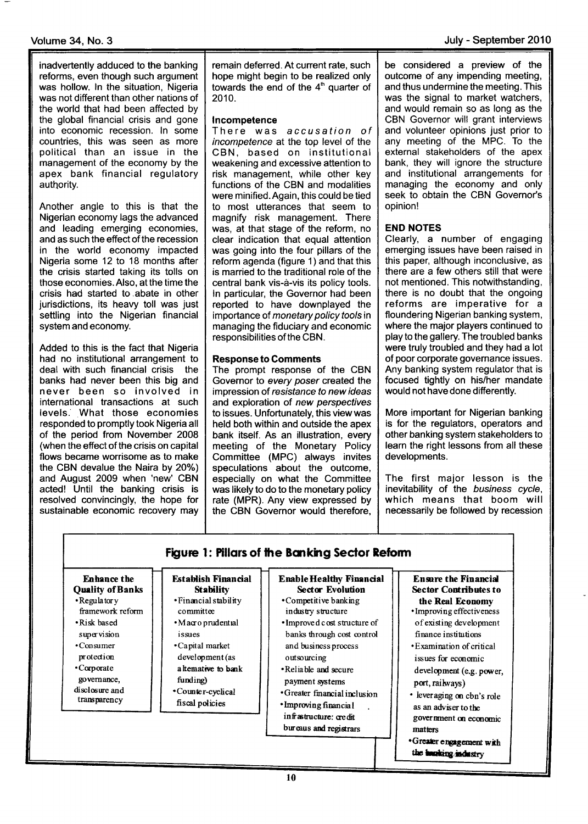## Volume 34, No. 3 July - September 2010

inadvertently adduced to the banking reforms, even though such argument was hollow. ln the situation, Nigeria was not different than other nations of the world that had been affected by the global financial crisis and gone into economic recession. ln some countries, this was seen as more political than an issue in the management of the economy by the apex bank financial regulatory authority.

Another angle to this is that the Nigerian economy lags the advanced and leading emerging economies, and as such the effect of the recession in the world economy impacted Nigeria some 12 to 18 months after the crisis started taking its tolls on those economies. Also, at the time the crisis had started to,abate in other jurisdictions, its heavy toll was just settling into the Nigerian financial system and economy.

Added to this is the fact that Nigeria had no institutional arrangement to deal with such financial crisis the banks had never been this big and never been so involved in international transactions at such levels.. What those economies responded to promptly took Nigeria all of the period from November 2008 (when the effect of the crisis on capital flows became worrisome as to make the CBN devalue the Naira by  $20\%$ ) and August 2009 when 'new' CBN acted! Until the banking crisis is resolved convincingly, the hope for sustainable economic recovery may

remain deferred. At current rate, such hope might begin to be realized only towards the end of the 4'n quarter of 2010.

#### lncompetence

There was accusation of incompetence at the top level of the CBN, based on institutional weakening and excessive attention to risk management, while other key functions of the CBN and modalities were minified. Again, this could be tied to most utterances that seem to magnify risk management. There was, at that stage of the reform, no clear indication that equal attention was going into the four pillars of the reform agenda (figure 1) and that this is married to the traditional role of the central bank vis-d-vis its policy tools. ln particular, the Governor had been reported to have downplayed the importance of monetary policy tools in managing the fiduciary and economic responsibilities of the CBN.

## Response to Gomments

The prompt response of the CBN Governor to every poser created the impression of resistance to new ideas and exploration of new perspectives to issues. Unfortunately, this viewwas held both within and outside the apex bank itself. As an illustration, every meeting of the Monetary Policy Committee (MPC) always invites speculations about the outcome, especially on what the Committee was likely to do to the monetary policy rate (MPR). Any view expressed by the CBN Governor would therefore, be considered a preview of the outcome of any impending meeting, and thus undermine the meeting. This was the signal to market watchers, and would remain so as long as the CBN Governor will grant interviews and volunteer opinions just prior to any meeting of the MPC. To the external stakeholders of the apex bank, they will ignore the structure and institutional arrangements for managing the economy and only seek to obtain the CBN Governor's opinion!

### END NOTES

Clearly, a number of engaging emerging issues have been raised in this paper, although inconclusive, as there are a few others still that were not mentioned. This notwithstanding, there is no doubt that the ongoing reforms are imperative for <sup>a</sup> floundering Nigerian banking system, where the major players continued to play to the gallery. The troubled banks were truly troubled and they had a lot of poor corporate governance issues. Any banking system regulator that is focused tightly on his/her mandate would not have done differently.

More important for Nigerian banking is for the regulators, operators and other banking system stakeholders to learn the right lessons from all these developments.

The first major lesson is the inevitability of the business cycle, which means that boom will necessarily be followed by recession

| <b>Enhance the</b>                                                     | <b>Establish Financial</b>                             | <b>Enable Healthy Financial</b>                    | <b>Ensure the Financial</b>                      |
|------------------------------------------------------------------------|--------------------------------------------------------|----------------------------------------------------|--------------------------------------------------|
| <b>Quality of Banks</b>                                                | <b>Stability</b>                                       | <b>Sector Evolution</b>                            | <b>Sector Contributes to</b>                     |
| $\cdot$ Regulatory                                                     | • Financial stability                                  | • Competitive banking                              | the Real Economy                                 |
| framework reform                                                       | committee                                              | industry structure                                 | • Improving effectiveness                        |
| • Risk based                                                           | • Macro prudential                                     | • Improved cost structure of                       | of existing development                          |
| supervision                                                            | issues                                                 | banks through cost control                         | finance institutions                             |
| $\cdot$ Consumer                                                       | •Capital market                                        | and business process                               | • Examination of critical                        |
| protection                                                             | development (as                                        | outsourcing                                        | issues for economic                              |
| •Corporate                                                             | altemative to bank                                     | •Reliable and secure                               | development (e.g. power,                         |
| governance.                                                            | funding)                                               | payment systems                                    | port, railways)                                  |
| disclosure and<br>•Counter-cyclical<br>transparency<br>fiscal policies | • Greater financial inclusion<br>· Improving financial | • leveraging on cbn's role<br>as an adviser to the |                                                  |
|                                                                        | infrastructure: credit<br>bureaus and registrars       | government on economic<br>matters                  |                                                  |
|                                                                        |                                                        |                                                    | *Greater engagement with<br>the hanking industry |